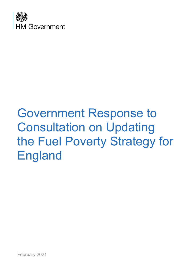

# Government Response to Consultation on Updating the Fuel Poverty Strategy for England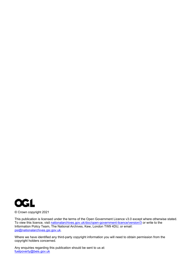

© Crown copyright 2021

This publication is licensed under the terms of the Open Government Licence v3.0 except where otherwise stated. To view this licence, visit [nationalarchives.gov.uk/doc/open-government-licence/version/3](http://nationalarchives.gov.uk/doc/open-government-licence/version/3/) or write to the Information Policy Team, The National Archives, Kew, London TW9 4DU, or email: [psi@nationalarchives.gsi.gov.uk.](mailto:psi@nationalarchives.gsi.gov.uk)

Where we have identified any third-party copyright information you will need to obtain permission from the copyright holders concerned.

Any enquiries regarding this publication should be sent to us at: [fuelpoverty@beis.gov.uk](mailto:fuelpoverty@beis.gov.uk)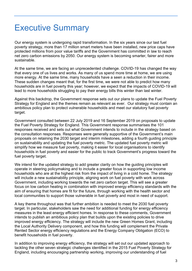# <span id="page-2-0"></span>Executive Summary

Our energy system is undergoing rapid transformation. In the six years since our last fuel poverty strategy, more than 17 million smart meters have been installed, new price caps have protected millions from poor value tariffs and the Government has committed in law to reach net zero carbon emissions by 2050. Our energy system is becoming smarter, fairer and more sustainable.

At the same time, we are facing an unprecedented challenge. COVID-19 has changed the way that every one of us lives and works. As many of us spend more time at home, we are using more energy. At the same time, many households have a seen a reduction in their income. These sudden changes meant that, for the first time, we were not able to predict how many households are in fuel poverty this year; however, we expect that the impacts of COVID-19 will lead to more households struggling to pay their energy bills this winter than last winter.

Against this backdrop, the Government response sets out our plans to update the Fuel Poverty Strategy for England and the themes remain as relevant as ever. Our strategy must contain an ambitious policy plan to protect vulnerable households and meet our statutory fuel poverty target.

Government consulted between 22 July 2019 and 16 September 2019 on proposals to update the Fuel Poverty Strategy for England. This Government response summarises the 101 responses received and sets out what Government intends to include in the strategy based on the consultation responses. Responses were generally supportive of the Government's main proposals on retaining the 2030 target and interim milestones, adding a fourth guiding principle on sustainability and updating the fuel poverty metric. The updated fuel poverty metric will simplify how we measure fuel poverty, making it easier for local organisations to identify households in fuel poverty and easier for the public to track Government's progress toward the fuel poverty target.

We intend for the updated strategy to add greater clarity on how the guiding principles will operate in steering policymaking and to include a greater focus in supporting low income households who are at the highest risk from the impact of living in a cold home. The strategy will include a new sustainability principle, aligning work on fuel poverty with work across Government, including working towards the net zero carbon target. This will see a greater focus on low carbon heating in combination with improved energy efficiency standards with the aim of ensuring that homes are fit for the future, through working with the health sector and local communities to support those vulnerable in fuel poverty and most in need of support.

A key theme throughout was that further ambition is needed to meet the 2030 fuel poverty target. In particular, stakeholders saw the need for additional funding for energy efficiency measures in the least energy efficient homes. In response to these comments, Government intends to publish an ambitious policy plan that builds upon the existing policies to drive improved energy efficiency. The strategy will include the new Green Homes Grant, including the Local Authority Delivery component, and how this funding will complement the Private Rented Sector energy efficiency regulations and the Energy Company Obligation (ECO) to benefit households in fuel poverty.

In addition to improving energy efficiency, the strategy will set out our updated approach to tackling the other seven strategic challenges identified in the 2015 Fuel Poverty Strategy for England, including encouraging partnership working, improving our understanding of fuel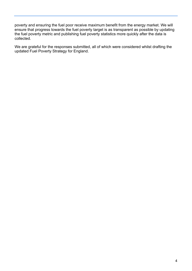poverty and ensuring the fuel poor receive maximum benefit from the energy market. We will ensure that progress towards the fuel poverty target is as transparent as possible by updating the fuel poverty metric and publishing fuel poverty statistics more quickly after the data is collected.

We are grateful for the responses submitted, all of which were considered whilst drafting the updated Fuel Poverty Strategy for England.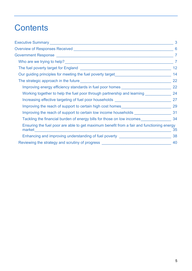# **Contents**

|                                                                                                                                                                                                                                       | 3              |
|---------------------------------------------------------------------------------------------------------------------------------------------------------------------------------------------------------------------------------------|----------------|
|                                                                                                                                                                                                                                       | 6              |
|                                                                                                                                                                                                                                       | $\overline{7}$ |
| Who are we trying to help?<br><u> Letting</u> the state of the state of the state of the state of the state of the state of the state of the state of the state of the state of the state of the state of the state of the state of t | $\overline{7}$ |
|                                                                                                                                                                                                                                       | 12             |
| Our guiding principles for meeting the fuel poverty target______________________                                                                                                                                                      | 14             |
|                                                                                                                                                                                                                                       | 22             |
| Improving energy efficiency standards in fuel poor homes _______________________                                                                                                                                                      | 22             |
| Working together to help the fuel poor through partnership and learning                                                                                                                                                               | 24             |
| Increasing effective targeting of fuel poor households _________________________                                                                                                                                                      | 27             |
| Improving the reach of support to certain high cost homes_______________________                                                                                                                                                      | 29             |
|                                                                                                                                                                                                                                       |                |
| Tackling the financial burden of energy bills for those on low incomes 34                                                                                                                                                             |                |
| Ensuring the fuel poor are able to get maximum benefit from a fair and functioning energy<br>market                                                                                                                                   | 35             |
| Enhancing and improving understanding of fuel poverty __________________________                                                                                                                                                      | 38             |
| Reviewing the strategy and scrutiny of progress ________________________________                                                                                                                                                      | 40             |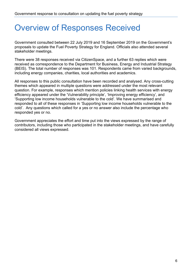# <span id="page-5-0"></span>Overview of Responses Received

Government consulted between 22 July 2019 and 16 September 2019 on the Government's proposals to update the Fuel Poverty Strategy for England. Officials also attended several stakeholder meetings.

There were 38 responses received via CitizenSpace, and a further 63 replies which were received as correspondence to the Department for Business, Energy and Industrial Strategy (BEIS). The total number of responses was 101. Respondents came from varied backgrounds, including energy companies, charities, local authorities and academics.

All responses to this public consultation have been recorded and analysed. Any cross-cutting themes which appeared in multiple questions were addressed under the most relevant question. For example, responses which mention policies linking health services with energy efficiency appeared under the 'Vulnerability principle', 'Improving energy efficiency', and 'Supporting low income households vulnerable to the cold'. We have summarised and responded to all of these responses in 'Supporting low income households vulnerable to the cold'. Any questions which called for a yes or no answer also include the percentage who responded yes or no.

Government appreciates the effort and time put into the views expressed by the range of contributors, including those who participated in the stakeholder meetings, and have carefully considered all views expressed.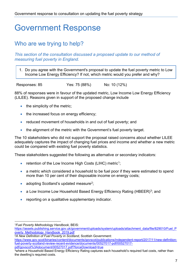# <span id="page-6-0"></span>Government Response

## <span id="page-6-1"></span>Who are we trying to help?

*This section of the consultation discussed a proposed update to our method of measuring fuel poverty in England.*

1. Do you agree with the Government's proposal to update the fuel poverty metric to Low Income Low Energy Efficiency? If not, which metric would you prefer and why?

Responses: 85 Yes: 75 (88%) No: 10 (12%)

88% of responses were in favour of the updated metric, Low Income Low Energy Efficiency (LILEE). Reasons given in support of the proposed change include

- the simplicity of the metric;
- the increased focus on energy efficiency;
- reduced movement of households in and out of fuel poverty; and
- the alignment of the metric with the Government's fuel poverty target.

The 10 stakeholders who did not support the proposal raised concerns about whether LILEE adequately captures the impact of changing fuel prices and income and whether a new metric could be compared with existing fuel poverty statistics.

These stakeholders suggested the following as alternative or secondary indicators:

- retention of the Low Income High Costs (LIHC) metric<sup>[1](#page-6-2)</sup>;
- a metric which considered a household to be fuel poor if they were estimated to spend more than 10 per cent of their disposable income on energy costs;
- adopting Scotland's updated measure<sup>2</sup>;
- a Low Income Low Household Based Energy Efficiency Rating (HBEER)<sup>[3](#page-6-4)</sup>; and
- reporting on a qualitative supplementary indicator.

<span id="page-6-2"></span><sup>1</sup>*Fuel Poverty Methodology Handbook*, BEIS:

[https://assets.publishing.service.gov.uk/government/uploads/system/uploads/attachment\\_data/file/829010/Fuel\\_P](https://assets.publishing.service.gov.uk/government/uploads/system/uploads/attachment_data/file/829010/Fuel_Poverty_Methodology_Handbook_2019.pdf)\_ overty Methodology Handbook 2019.pdf

<span id="page-6-3"></span><sup>2</sup>*A New Definition of Fuel Poverty in Scotland*, Scottish Government:

[https://www.gov.scot/binaries/content/documents/govscot/publications/independent-report/2017/11/new-definition](https://www.gov.scot/binaries/content/documents/govscot/publications/independent-report/2017/11/new-definition-fuel-poverty-scotland-review-recent-evidence/documents/00527017-pdf/00527017-pdf/govscot%3Adocument/00527017.pdf?forceDownload=true)[fuel-poverty-scotland-review-recent-evidence/documents/00527017-pdf/00527017](https://www.gov.scot/binaries/content/documents/govscot/publications/independent-report/2017/11/new-definition-fuel-poverty-scotland-review-recent-evidence/documents/00527017-pdf/00527017-pdf/govscot%3Adocument/00527017.pdf?forceDownload=true) [pdf/govscot%3Adocument/00527017.pdf?forceDownload=true](https://www.gov.scot/binaries/content/documents/govscot/publications/independent-report/2017/11/new-definition-fuel-poverty-scotland-review-recent-evidence/documents/00527017-pdf/00527017-pdf/govscot%3Adocument/00527017.pdf?forceDownload=true)

<span id="page-6-4"></span> $3$ where a Household Based Energy Efficiency Rating captures each household's required fuel costs, rather than the dwelling's required costs.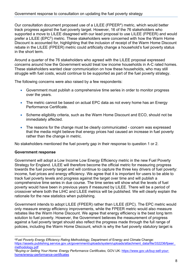Our consultation document proposed use of a LILEE (FPEER<sup>4</sup>) metric, which would better track progress against the fuel poverty target. However, 16 of the 76 stakeholders who supported a move to LILEE disagreed with our lead proposal to use LILEE (FPEER) and would prefer a LILEE (EPC<sup>5</sup>) metric. These stakeholders were concerned with how the Warm Home Discount is accounted for, highlighting that the inclusion of receipt of the Warm Home Discount rebate in the LILEE (FPEER) metric could artificially change a household's fuel poverty status in the short term.

Around a quarter of the 76 stakeholders who agreed with the LILEE proposal expressed concerns around how the Government would treat low income households in A-C rated homes. These stakeholders wanted clear communication on how these households, who may still struggle with fuel costs, would continue to be supported as part of the fuel poverty strategy.

The following concerns were also raised by a few respondents:

- Government must publish a comprehensive time series in order to monitor progress over the years.
- The metric cannot be based on actual EPC data as not every home has an Energy Performance Certificate.
- Scheme eligibility criteria, such as the Warm Home Discount and ECO, should not be immediately affected.
- The reasons for the change must be clearly communicated concern was expressed that the media might believe that energy prices had caused an increase in fuel poverty rather than the change in metric.

No stakeholders mentioned the fuel poverty gap in their response to question 1 or 2.

#### **Government response**

Government will adopt a Low Income Low Energy Efficiency metric in the new Fuel Poverty Strategy for England. LILEE will therefore become the official metric for measuring progress towards the fuel poverty target and will continue to capture the three key drivers of fuel poverty: income, fuel prices and energy efficiency. We agree that it is important for users to be able to track fuel poverty levels and progress against the target over time and will publish a comprehensive time series in due course. The time series will show what the levels of fuel poverty would have been in previous years if measured by LILEE. There will be a period of crossover where both the LIHC and LILEE metrics will be published. We will clearly explain the rationale for the new statistics when publishing.

Government intends to adopt LILEE (FPEER) rather than LILEE (EPC). The EPC metric would only measure energy efficiency improvements, while the FPEER metric would also measure rebates like the Warm Home Discount. We agree that energy efficiency is the best long term solution to fuel poverty. However, the Government believes the measurement of progress against a fuel poverty target should also reflect the progress made through the full range of policies, including the Warm Home Discount, which is why the fuel poverty statutory target is

<span id="page-7-0"></span><sup>4</sup>*Fuel Poverty Energy Efficiency Rating Methodology*, Department of Energy and Climate Change: https://assets.publishing.service.gov.uk/government/uploads/system/uploads/attachment\_data/file/332236/fpeer [methodology.pdf](https://assets.publishing.service.gov.uk/government/uploads/system/uploads/attachment_data/file/332236/fpeer_methodology.pdf)

<span id="page-7-1"></span><sup>5</sup>*Buying or Selling Your Home: Energy Performance Certificates,* GOV.UK: [https://www.gov.uk/buy-sell-your](https://www.gov.uk/buy-sell-your-home/energy-performance-certificates)[home/energy-performance-certificates](https://www.gov.uk/buy-sell-your-home/energy-performance-certificates)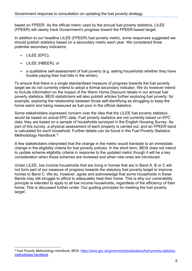based on FPEER. As the official metric used by the annual fuel poverty statistics, LILEE (FPEER) will clearly track Government's progress toward the FPEER-based target.

In addition to our headline LILEE (FPEER) fuel poverty metric, some responses suggested we should publish statistics based on a secondary metric each year. We considered three potential secondary indicators:

- LILEE (EPC);
- LILEE (HBEER); or
- a qualitative self-assessment of fuel poverty (e.g. asking households whether they have trouble paying their fuel bills in the winter).

To ensure that there is a single standardised measure of progress towards the fuel poverty target we do not currently intend to adopt a formal secondary indicator. We do however intend to include information on the impact of the Warm Home Discount rebate in our annual fuel poverty statistics. BEIS statisticians will also publish articles further exploring fuel poverty: for example, exploring the relationship between those self-identifying as struggling to keep the home warm and being measured as fuel poor in the official statistics.

Some stakeholders expressed concern over the idea that the LILEE fuel poverty statistics would be based on actual EPC data. Fuel poverty statistics are not currently based on EPC data; they are based on a sample of households surveyed in the English Housing Survey. As part of this survey, a physical assessment of each property is carried out, and an FPEER band is calculated for each household. Further details can be found in the Fuel Poverty Statistics Methodology Handbook.<sup>[6](#page-8-0)</sup>

A few stakeholders interpreted that the change in the metric would translate to an immediate change in the eligibility criteria for fuel poverty policies. In the short term, BEIS does not intend to update scheme eligibility criteria in response to the updated metric though it will be a key consideration when those schemes are reviewed and when new ones are introduced.

Under LILEE, low income households that are living in homes that are in Band A, B or C will not form part of our measure of progress towards the statutory fuel poverty target to improve homes to Band C. We do, however, agree and acknowledge that some households in these Bands may still struggle to afford to adequately heat their home. This is why our vulnerability principle is intended to apply to all low income households, regardless of the efficiency of their home. This is discussed further under 'Our guiding principles for meeting the fuel poverty target'.

<span id="page-8-0"></span><sup>6</sup> *Fuel Poverty Methodology Handbook*, BEIS: [https://www.gov.uk/government/publications/fuel-poverty-statistics](https://www.gov.uk/government/publications/fuel-poverty-statistics-methodology-handbook)[methodology-handbook](https://www.gov.uk/government/publications/fuel-poverty-statistics-methodology-handbook)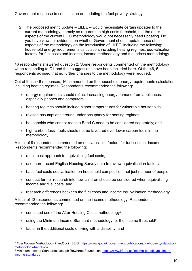2. The proposed metric update – LILEE – would necessitate certain updates to the current methodology, namely as regards the high costs threshold, but the other aspects of the current LIHC methodology would not necessarily need updating. Do you have views or evidence on whether Government should update those other aspects of the methodology on the introduction of LILEE, including the following: household energy requirements calculation, including heating regimes; equivalisation factors, for fuel costs and income; income methodology and fuel prices methodology.

46 respondents answered question 2. Some respondents commented on the methodology when responding to Q1 and their suggestions have been included here. Of the 46, 5 respondents advised that no further changes to the methodology were required.

Out of these 46 responses, 16 commented on the household energy requirements calculation, including heating regimes. Respondents recommended the following:

- energy requirements should reflect increasing energy demand from appliances, especially phones and computers;
- heating regimes should include higher temperatures for vulnerable households;
- revised assumptions around under occupancy for heating regimes;
- households who cannot reach a Band C need to be considered separately; and
- high-carbon fossil fuels should not be favoured over lower carbon fuels in the methodology.

A total of 9 respondents commented on equivalisation factors for fuel costs or income. Respondents recommended the following:

- a unit cost approach to equivalising fuel costs;
- use more recent English Housing Survey data to review equivalisation factors:
- base fuel costs equivalisation on household composition, not just number of people;
- conduct further research into how children should be considered when equivalising income and fuel costs; and
- research differences between the fuel costs and income equivalisation methodology.

A total of 13 respondents commented on the income methodology. Respondents recommended the following:

- continued use of the After Housing Costs methodology<sup>[7](#page-9-0)</sup>;
- using the Minimum Income Standard methodology for the income threshold<sup>8</sup>;
- factor in the additional costs of living with a disability; and

<span id="page-9-1"></span><sup>8</sup> Minimum Income Standards, Joseph Rowntree Foundation: [https://www.jrf.org.uk/income-benefits/minimum](https://www.jrf.org.uk/income-benefits/minimum-income-standards)[income-standards](https://www.jrf.org.uk/income-benefits/minimum-income-standards)

<span id="page-9-0"></span><sup>7</sup> *Fuel Poverty Methodology Handbook,* BEIS: [https://www.gov.uk/government/publications/fuel-poverty-statistics](https://www.gov.uk/government/publications/fuel-poverty-statistics-methodology-handbook)[methodology-handbook](https://www.gov.uk/government/publications/fuel-poverty-statistics-methodology-handbook)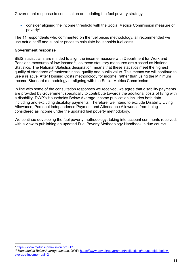• consider aligning the income threshold with the Social Metrics Commission measure of poverty[9.](#page-10-0)

The 11 respondents who commented on the fuel prices methodology, all recommended we use actual tariff and supplier prices to calculate households fuel costs.

#### **Government response**

BEIS statisticians are minded to align the income measure with Department for Work and Pensions measures of low income<sup>10</sup>, as these statutory measures are classed as National Statistics. The National Statistics designation means that these statistics meet the highest quality of standards of trustworthiness, quality and public value. This means we will continue to use a relative, After Housing Costs methodology for income, rather than using the Minimum Income Standard methodology or aligning with the Social Metrics Commission.

In line with some of the consultation responses we received, we agree that disability payments are provided by Government specifically to contribute towards the additional costs of living with a disability. DWP's Households Below Average Income publication includes both data including and excluding disability payments. Therefore, we intend to exclude Disability Living Allowance, Personal Independence Payment and Attendance Allowance from being considered as income under the updated fuel poverty methodology.

We continue developing the fuel poverty methodology, taking into account comments received, with a view to publishing an updated Fuel Poverty Methodology Handbook in due course.

<span id="page-10-0"></span><sup>9</sup> <https://socialmetricscommission.org.uk/>

<span id="page-10-1"></span><sup>10</sup> *Households Below Average Income*, DWP: [https://www.gov.uk/government/collections/households-below](https://www.gov.uk/government/collections/households-below-average-income-hbai--2)[average-income-hbai--2](https://www.gov.uk/government/collections/households-below-average-income-hbai--2)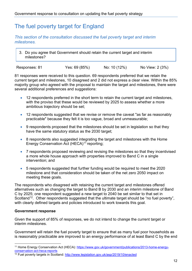### <span id="page-11-0"></span>The fuel poverty target for England

#### *This section of the consultation discussed the fuel poverty target and interim milestones.*

3. Do you agree that Government should retain the current target and interim milestones?

Responses: 81 Yes: 69 (85%) No: 10 (12%) No View: 2 (3%)

81 responses were received to this question. 69 respondents preferred that we retain the current target and milestones, 10 disagreed and 2 did not express a clear view. Within the 85% majority group who agreed with the proposal to maintain the target and milestones, there were several additional preferences and suggestions:

- 12 respondents preferred in the short term to retain the current target and milestones, with the proviso that these would be reviewed by 2025 to assess whether a more ambitious trajectory should be set;
- 12 respondents suggested that we revise or remove the caveat "as far as reasonably practicable" because they felt it is too vague, broad and unmeasurable;
- 9 respondents proposed that the milestones should be set in legislation so that they have the same statutory status as the 2030 target;
- 8 respondents also suggested integrating the target and milestones with the Home Energy Conservation Act (HECA)<sup>[11](#page-11-1)</sup> reporting;
- 7 respondents proposed reviewing and revising the milestones so that they incentivised a more whole house approach with properties improved to Band C in a single intervention; and
- 5 respondents suggested that further funding would be required to meet the 2020 milestone and that consideration should be taken of the net zero 2050 impact on meeting these goals.

The respondents who disagreed with retaining the current target and milestones offered alternatives such as changing the target to Band B by 2030 and an interim milestone of Band C by 2025; one respondent suggested a new target to 2040 be set similar to that set in Scotland<sup>[12](#page-11-2)</sup>. Other respondents suggested that the ultimate target should be "no fuel poverty", with clearly defined targets and policies introduced to work towards this goal.

#### **Government response**

Given the support of 85% of responses, we do not intend to change the current target or interim milestones.

Government will retain the fuel poverty target to ensure that as many fuel poor households as is reasonably practicable are improved to an energy performance of at least Band C by the end

<span id="page-11-1"></span><sup>&</sup>lt;sup>11</sup> Home Energy Conservation Act (HECA): [https://www.gov.uk/government/publications/2013-home-energy](https://www.gov.uk/government/publications/2013-home-energy-conservation-act-heca-reports)[conservation-act-heca-reports](https://www.gov.uk/government/publications/2013-home-energy-conservation-act-heca-reports)

<span id="page-11-2"></span><sup>&</sup>lt;sup>12</sup> Fuel poverty targets in Scotland: <http://www.legislation.gov.uk/asp/2019/10/enacted>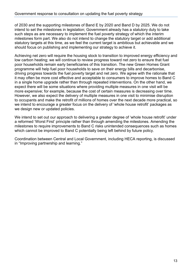of 2030 and the supporting milestones of Band E by 2020 and Band D by 2025. We do not intend to set the milestones in legislation; Government already has a statutory duty to take such steps as are necessary to implement the fuel poverty strategy of which the interim milestones form part. We also do not intend to change the statutory target or add additional statutory targets at this time, as we feel the current target is ambitious but achievable and we should focus on publishing and implementing our strategy to achieve it.

Achieving net zero will require the housing stock to transition to improved energy efficiency and low carbon heating; we will continue to review progress toward net zero to ensure that fuel poor households remain early beneficiaries of this transition. The new Green Homes Grant programme will help fuel poor households to save on their energy bills and decarbonise, driving progress towards the fuel poverty target and net zero. We agree with the rationale that it may often be more cost effective and acceptable to consumers to improve homes to Band C in a single home upgrade rather than through repeated interventions. On the other hand, we expect there will be some situations where providing multiple measures in one visit will be more expensive; for example, because the cost of certain measures is decreasing over time. However, we also expect the delivery of multiple measures in one visit to minimise disruption to occupants and make the retrofit of millions of homes over the next decade more practical, so we intend to encourage a greater focus on the delivery of 'whole house retrofit' packages as we design new or updated policies.

We intend to set out our approach to delivering a greater degree of 'whole house retrofit' under a reformed 'Worst First' principle rather than through amending the milestones. Amending the milestones to require improvements to Band C risks unintended consequences such as homes which cannot be improved to Band C potentially being left behind by future policy.

Coordination between Central and Local Government, including HECA reporting, is discussed in "Improving partnership and learning."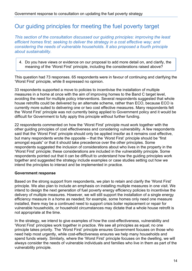### <span id="page-13-0"></span>Our guiding principles for meeting the fuel poverty target

*This section of the consultation discussed our guiding principles: improving the least efficient homes first; seeking to deliver the strategy in a cost effective way; and considering the needs of vulnerable households. It also proposed a fourth principle about sustainability.* 

4. Do you have views or evidence on our proposal to add more detail on, and clarify, the meaning of the 'Worst First' principle, including the considerations raised above?

This question had 73 responses. 65 respondents were in favour of continuing and clarifying the 'Worst First' principle, while 8 expressed no opinion.

33 respondents supported a move to policies to incentivise the installation of multiple measures in a home at once with the aim of improving homes to the Band C target level, avoiding the need for multiple policy interventions. Several respondents suggested that whole house retrofits could be delivered by an alternate scheme, rather than ECO, because ECO is currently more suited to delivering one or two cost effective measures. Many respondents felt the 'Worst First' principle was not currently being applied to Government policy and it would be difficult for Government to fully apply this principle without further funding.

22 respondents commented on how the 'Worst First' principle must work together with the other guiding principles of cost effectiveness and considering vulnerability. A few respondents said that the 'Worst First' principle should only be applied insofar as it remains cost effective, but many respondents wrote the opposite – that the 'Worst First' principle should be "first amongst equals" or that it should take precedence over the other principles. Some respondents suggested the inclusion of considerations about who lives in the property in the 'Worst First' principle; these considerations are included in the vulnerability principle. Some respondents pointed out that it can be difficult to understand how the guiding principles work together and suggested the strategy include examples or case studies setting out how we intend the principles to interact and be implemented in practice.

#### **Government response**

Based on the strong support from respondents, we plan to retain and clarify the 'Worst First' principle. We also plan to include an emphasis on installing multiple measures in one visit. We intend to design the next generation of fuel poverty energy efficiency policies to incentivise the delivery of multiple measures. However, we will still support the installation of a single energy efficiency measure in a home as needed; for example, some homes only need one measure installed, there may be a continued need to support crisis boiler replacement or repair for vulnerable households, or household circumstances may dictate that a whole house retrofit is not appropriate at the time.

In the strategy, we intend to give examples of how the cost-effectiveness, vulnerability and 'Worst First' principles work together in practice. We see all principles as equal; no one principle takes priority. The 'Worst First' principle ensures Government focuses on those who need help most urgently, while cost-effectiveness ensures we help many households and spend funds wisely. Similarly, where the 'Worst First' principle focuses on the dwelling, we will always consider the needs of vulnerable individuals and families who live in them as part of the vulnerability principle.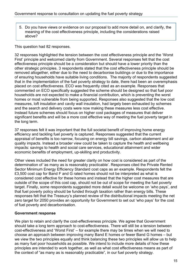5. Do you have views or evidence on our proposal to add more detail on, and clarify, the meaning of the cost effectiveness principle, including the considerations raised above?

This question had 82 responses.

32 responses highlighted the tension between the cost effectiveness principle and the 'Worst First' principle and welcomed clarity from Government. Several responses felt that the cost effectiveness principle should be a consideration but should have a lower priority than the other strategic principles. 3 respondents stated that the cost effectiveness principle should be removed altogether, either due to the need to decarbonise buildings or due to the importance of ensuring households have suitable living conditions. The majority of respondents suggested that in the implementation of the fuel poverty strategy to date, there had been an overemphasis placed on cost effectiveness. ECO was frequently cited as an example. Responses that commented on ECO specifically suggested the scheme should be designed so that fuel poor households are not expected to make a financial contribution, which is preventing the worst homes or most vulnerable from being supported. Responses also suggested that the low cost measures, loft insulation and cavity wall insulation, had largely been exhausted by schemes and the search and delivery costs were now making these measures less cost effective. Instead future schemes should focus on higher cost packages of measures that deliver significant benefits and will be a more cost effective way of meeting the fuel poverty target in the long term.

37 responses felt it was important that the full societal benefit of improving home energy efficiency and tackling fuel poverty is captured. Responses suggested that the current appraisal of benefits is too narrow, focusing on energy bill savings, carbon abatement and air quality impacts. Instead a broader view could be taken to capture the health and wellbeing impacts: savings to health and social care services, educational attainment and wider economic benefits of employment, up-skilling and productivity.

Other views included the need for greater clarity on how cost is considered as part of the determination of 'as many as is reasonably practicable'. Responses cited the Private Rented Sector Minimum Energy Efficiency Standard cost caps as an example. Respondents felt the £3,500 cost cap for Band F and G rated homes should not be interpreted as what is considered cost effective for these homes and instead that the higher cost measures that are outside of the scope of this cost cap, should not be out of scope for meeting the fuel poverty target. Finally, some respondents suggested more detail would be welcome on 'who pays', and that fuel poverty policy should be funded through taxation rather than energy bills. These responses felt that the Treasury's planned review of the distributional impacts meeting the net zero target for 2050 provides an opportunity for Government to set out 'who pays' for the cost of fuel poverty and decarbonisation.

#### **Government response**

We plan to retain and clarify the cost-effectiveness principle. We agree that Government should take a long term approach to cost-effectiveness. There will still be a tension between cost-effectiveness and 'Worst First' – for example there may be times when we will need to choose an approach between improving many Band E homes or fewer Band G homes – but we view the two principles equally and think balancing these two principles will allow us to help as many fuel poor households as possible. We intend to include more details of how these principles are intended to work together, as well as what cost effectiveness means as part of the context of "as many as is reasonably practicable", in our fuel poverty strategy.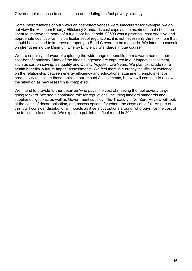Some interpretations of our views on cost-effectiveness were inaccurate: for example, we do not view the Minimum Energy Efficiency Standards cost caps as the maximum that should be spent to improve the home of a fuel poor household. £3500 was a practical, cost effective and appropriate cost cap for this particular set of regulations; it is not necessarily the maximum that should be invested to improve a property to Band C over the next decade. We intend to consult on strengthening the Minimum Energy Efficiency Standards in due course

We are certainly in favour of capturing the wide range of benefits from a warm home in our cost-benefit analysis. Many of the ideas suggested are captured in our impact assessment, such as carbon saving, air quality and Quality Adjusted Life Years. We plan to include more health benefits in future Impact Assessments. We feel there is currently insufficient evidence on the relationship between energy efficiency and educational attainment, employment or productivity to include these topics in our Impact Assessments, but we will continue to review the situation as new research is completed.

We intend to provide further detail on 'who pays' the cost of meeting the fuel poverty target going forward. We see a continued role for regulations, including landlord standards and supplier obligations, as well as Government subsidy. The Treasury's Net Zero Review will look at the costs of decarbonisation, and assess options for where the costs could fall. As part of this it will consider distributional impacts as it sets out options around 'who pays' for the cost of the transition to net zero. We expect to publish the final report in 2021.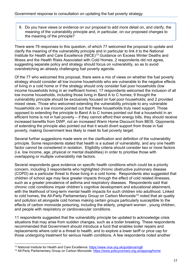6. Do you have views or evidence on our proposal to add more detail on, and clarify, the meaning of the vulnerability principle and, in particular, on our proposed changes to the meaning of the principle?

There were 79 responses to this question, of which 77 welcomed the proposal to update and clarify the meaning of the vulnerability principle and in particular to link it to the National Institute for Health and Care Excellence (NICE)<sup>[13](#page-16-0)</sup> Guidance on Excess Winter Deaths and Illness and the [Health Risks Associated with Cold Homes.](https://www.nice.org.uk/guidance/ng6) 2 respondents did not agree, suggesting separate policy and strategy should focus on vulnerability, so as to avoid overstretching an already challenging fuel poverty agenda.

Of the 77 who welcomed this proposal, there were a mix of views on whether the fuel poverty strategy should consider all low income households who are vulnerable to the negative effects of living in a cold home or if the strategy should only consider fuel poor households (low income households living in an inefficient home). 17 respondents welcomed the inclusion of all low income households, including those living in Band A to C homes; 9 thought the vulnerability principle should be exclusively focused on fuel poor households; and 2 provided mixed views. Those who welcomed extending the vulnerability principle to any vulnerable households on a low income pointed out that these households truly need support. Those opposed to extending the principle to Band A to C homes pointed out that a household in an efficient home is not in fuel poverty – if they cannot afford their energy bills, they should receive increased benefits from DWP, not an increased Warm Home Discount from BEIS. Opponents of extending the principle also pointed out that it would divert support from those in fuel poverty, making Government less likely to meet its fuel poverty target.

Several further suggestions made were on the clarification and definition of the vulnerability principle. Some respondents stated that health is a subset of vulnerability, and any one health factor cannot be considered in isolation. Eligibility criteria should consider two or more factors (i.e. low income, age, physical or mental disabilities) in order to prioritise those with overlapping or multiple vulnerability risk factors.

Several respondents gave evidence on specific health conditions which could be a priority concern, including 3 respondents who highlighted chronic obstructive pulmonary disease (COPD) as a particular threat to those living in a cold home. Respondents also suggested that children of school age may face greater impacts through the effect of cold related illnesses, such as a greater prevalence of asthma and respiratory diseases. Respondents said that chronic cold conditions impair children's cognitive development and educational attainment, with the likelihood of long-term mental health impacts for such children into adulthood. Linked to cold homes, the All-Party Parliamentary Group on Carbon Monoxide<sup>[14](#page-16-1)</sup> noted that air quality and pollution sit alongside cold homes making certain groups particularly susceptible to the effects of carbon monoxide poisoning, including the elderly, pregnant women , young children, and people with respiratory or cardiovascular conditions.

11 respondents suggested that the vulnerability principle be updated to acknowledge crisis situations that may arise from sudden changes, such as a boiler breaking. These respondents recommended that Government should introduce a fund that enables boiler repairs and replacements where cold is a threat to health, and to explore a lower tariff or price cap for those undergoing treatment for serious health conditions. A few respondents noted another

<span id="page-16-0"></span><sup>&</sup>lt;sup>13</sup> National Institute for Health and Care Excellence:<https://www.nice.org.uk/guidance/ng6>

<span id="page-16-1"></span><sup>&</sup>lt;sup>14</sup> All-Party Parliamentary Group on Carbon Monoxide:<https://www.policyconnect.org.uk/appcog/home>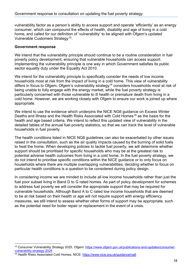vulnerability factor as a person's ability to access support and operate 'efficiently' as an energy consumer, which can compound the effects of health, disability and age of living in a cold home, and called for our definition of 'vulnerability' to be aligned with Ofgem's updated Vulnerable Customers Strategy[15.](#page-17-0)

#### **Government response**

We intend that the vulnerability principle should continue to be a routine consideration in fuel poverty policy development, ensuring that vulnerable households can access support. Implementing the vulnerability principle is one way in which Government satisfies its public sector equality duty under the Equality Act 2010.

We intend for the vulnerability principle to specifically consider the needs of low income households most at risk from the impact of living in a cold home. This view of vulnerability differs in focus to Ofgem; Ofgem's vulnerability strategy<sup>14</sup> considers households most at risk of being unable to fully engage with the energy market, while the fuel poverty strategy is particularly concerned with those vulnerable to ill health or premature death from living in a cold home. However, we are working closely with Ofgem to ensure our work is joined up where appropriate.

We intend to use the evidence which underpins the NICE NG6 guidance on Excess Winter Deaths and Illness and the Health Risks Associated with Cold Homes<sup>[16](#page-17-1)</sup> as the basis for the health and age based criteria. We intend to reflect this updated view of vulnerability in the detailed tables of the annual fuel poverty statistics, so that we can track the level of vulnerable households in fuel poverty.

The health conditions listed in NICE NG6 guidelines can also be exacerbated by other issues raised in the consultation, such as the air quality impacts caused by the burning of solid fuels to heat the home. When developing policies to tackle fuel poverty, we will determine whether support should be prioritised for specific households who may be at the greatest risk to potential adverse health outcomes from living in a cold home. In the fuel poverty strategy, we do not intend to prioritise specific conditions within the NICE guidance or to only focus on households where there are multiple overlapping vulnerabilities; deciding whether to focus on particular health conditions is a question to be considered during policy design.

In considering income we are minded to include all low income households rather than just the fuel poor subset living in Band D to G rated homes. As part of policy development for schemes to address fuel poverty we will consider the appropriate support that may be required for vulnerable households. Although Band A to C rated low income households that are deemed to be at risk based on their health or age will not require support with energy efficiency measures, we still intend to assess whether other forms of support may be appropriate, such as the potential need for boiler repair or replacement in the event of a crisis.

<span id="page-17-0"></span><sup>15</sup> Consumer Vulnerability Strategy 2025, Ofgem: [https://www.ofgem.gov.uk/publications-and-updates/consumer](https://www.ofgem.gov.uk/publications-and-updates/consumer-vulnerability-strategy-2025)[vulnerability-strategy-2025](https://www.ofgem.gov.uk/publications-and-updates/consumer-vulnerability-strategy-2025)

<span id="page-17-1"></span><sup>16</sup> Health Risks Associated Cold Homes, NICE: <https://www.nice.org.uk/guidance/ng6>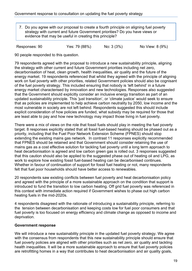7. Do you agree with our proposal to create a fourth principle on aligning fuel poverty strategy with current and future Government priorities? Do you have views or evidence that may be useful in creating this principle?

Responses: 90 Yes: 79 (88%) No: 3 (3%) No View: 8 (9%)

90 people responded to this question.

79 respondents agreed with the proposal to introduce a new sustainability principle, aligning the strategy with other current and future Government priorities including net zero, decarbonisation of heat, clean growth, health inequalities, air quality and the future of the energy market. 19 respondents referenced that whilst they agreed with the principle of aligning work on fuel poverty with other priorities, related Government policies should also be cognisant of the fuel poverty strategy. This included ensuring that nobody is 'left behind' in a future energy market characterised by innovation and new technologies. Responses also suggested that the Government should explicitly consider an inclusive energy transition as part of an updated sustainability principle. This 'just transition', or 'climate justice' would seek to ensure that as policies are implemented to help achieve carbon neutrality by 2050, low income and the most vulnerable in society are not left behind. Respondents suggested this should include explicit consideration of how policies are funded, what subsidy may be required for those that are least able to pay and how new technology may impact those living in fuel poverty.

There were a mix of views on the role that fossil fuels should play in meeting the fuel poverty target. 8 responses explicitly stated that all fossil fuel-based heating should be phased out as a priority, including that the Fuel Poor Network Extension Scheme (FPNES) should stop extending the existing mains gas network. In contrast 11 responses explicitly recommended that FPNES should be retained and that Government should consider retaining the use of mains gas as a cost effective solution for tackling fuel poverty until a long term approach to heat decarbonisation is agreed and low carbon green gas is rolled out. 3 responses suggested that this caution should also be applied to the suggested phase out of heating oil and LPG, as work to explore how existing fossil fuel-based heating can be decarbonised continues. Whether in favour of continuation of support for fossil fuel heating or not, many respondents felt that fuel poor households should have better access to renewables.

20 respondents saw existing conflicts between fuel poverty and heat decarbonisation policy and agreed with the principle of a more sustainable approach on the condition that support is introduced to fund the transition to low carbon heating. Off grid fuel poverty was referenced in this context with immediate action required if Government wishes to phase out high carbon heating fuels in the mid-2020s.

4 respondents disagreed with the rationale of introducing a sustainability principle, referring to the tension between decarbonisation and keeping costs low for fuel poor consumers and that fuel poverty is too focused on energy efficiency and climate change as opposed to income and deprivation.

#### **Government response**

We will introduce a new sustainability principle in the updated fuel poverty strategy. We agree with the consensus from respondents that this new sustainability principle should ensure that fuel poverty policies are aligned with other priorities such as net zero, air quality and tackling health inequalities. It will be a more sustainable approach to ensure that fuel poverty policies are retrofitting homes in a way that contributes to heat decarbonisation and air quality goals,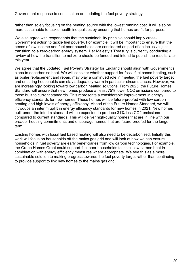rather than solely focusing on the heating source with the lowest running cost. It will also be more sustainable to tackle health inequalities by ensuring that homes are fit for purpose.

We also agree with respondents that the sustainability principle should imply cross-Government action to tackle fuel poverty. For example, it will be important to ensure that the needs of low income and fuel poor households are considered as part of an inclusive 'just transition' to a zero-carbon energy system. Her Majesty's Treasury is currently conducting a review of how the transition to net zero should be funded and intend to publish the results later this year.

We agree that the updated Fuel Poverty Strategy for England should align with Government's plans to decarbonise heat. We will consider whether support for fossil fuel based heating, such as boiler replacement and repair, may play a continued role in meeting the fuel poverty target and ensuring households can stay adequately warm in particular circumstances. However, we are increasingly looking toward low carbon heating solutions. From 2025, the Future Homes Standard will ensure that new homes produce at least 75% lower CO2 emissions compared to those built to current standards. This represents a considerable improvement in energy efficiency standards for new homes. These homes will be future-proofed with low carbon heating and high levels of energy efficiency. Ahead of the Future Homes Standard, we will introduce an interim uplift in energy efficiency standards for new homes in 2021. New homes built under the interim standard will be expected to produce 31% less CO2 emissions compared to current standards. This will deliver high-quality homes that are in line with our broader housing commitments and encourage homes that are future-proofed for the longerterm.

Existing homes with fossil fuel based heating will also need to be decarbonised. Initially this work will focus on households off the mains gas grid and will look at how we can ensure households in fuel poverty are early beneficiaries from low carbon technologies. For example, the Green Homes Grant could support fuel poor households to install low carbon heat in combination with energy efficiency measures where appropriate. We see this as a more sustainable solution to making progress towards the fuel poverty target rather than continuing to provide support to link new homes to the mains gas grid.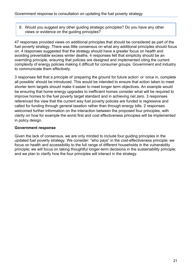8. Would you suggest any other guiding strategic principles? Do you have any other views or evidence on the guiding principles?

47 responses provided views on additional principles that should be considered as part of the fuel poverty strategy. There was little consensus on what any additional principles should focus on. 4 responses suggested that the strategy should have a greater focus on health and avoiding preventable excess winter deaths. 4 responses felt that simplicity should be an overriding principle, ensuring that policies are designed and implemented citing the current complexity of energy policies making it difficult for consumer groups, Government and industry to communicate them effectively.

3 responses felt that a principle of 'preparing the ground for future action' or 'once in, complete all possible' should be introduced. This would be intended to ensure that action taken to meet shorter term targets should make it easier to meet longer term objectives. An example would be ensuring that home energy upgrades to inefficient homes consider what will be required to improve homes to the fuel poverty target standard and in achieving net zero. 3 responses referenced the view that the current way fuel poverty policies are funded is regressive and called for funding through general taxation rather than through energy bills. 2 responses welcomed further information on the interaction between the proposed four principles, with clarity on how for example the worst first and cost effectiveness principles will be implemented in policy design.

#### **Government response**

Given the lack of consensus, we are only minded to include four guiding principles in the updated fuel poverty strategy. We consider: "who pays" in the cost-effectiveness principle; we focus on health and accessibility to the full range of different households in the vulnerability principle; we will focus on taking thoughtful longer-term decisions in the sustainability principle; and we plan to clarify how the four principles will interact in the strategy.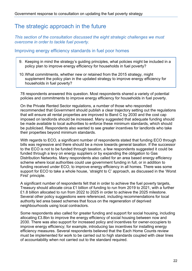### <span id="page-21-0"></span>The strategic approach in the future

*This section of the consultation discussed the eight strategic challenges we must overcome in order to tackle fuel poverty.*

#### <span id="page-21-1"></span>Improving energy efficiency standards in fuel poor homes

- 9. Keeping in mind the strategy's guiding principles, what policies might be included in a policy plan to improve energy efficiency for households in fuel poverty?
- 10.What commitments, whether new or retained from the 2015 strategy, might supplement the policy plan in the updated strategy to improve energy efficiency for households in fuel poverty?

78 respondents answered this question. Most respondents shared a variety of potential policies and commitments to improve energy efficiency for households in fuel poverty.

On the Private Rented Sector regulations, a number of those who responded recommended that Government should publish a clear trajectory setting out the regulations that will ensure all rental properties are improved to Band C by 2030 and the cost cap imposed on landlords should be increased. Many suggested that adequate funding should be made available to local authorities to enforce these minimum standards, which should be publicised. Respondents also wanted to see greater incentives for landlords who take their properties beyond minimum standards.

With regards to ECO, a significant number of respondents stated that funding ECO through bills was regressive and there should be a move towards general taxation. If the successor to the ECO is not to be funded through taxation, a few respondents suggested it could be funded through a levy on energy suppliers or by expanding the obligation to Gas Distribution Networks. Many respondents also called for an area based energy efficiency scheme where local authorities could use government funding in full, or in addition to funding received under ECO, to improve energy efficiency in all homes. There was some support for ECO to take a whole house, 'straight to C' approach, as discussed in the 'Worst First' principle.

A significant number of respondents felt that in order to achieve the fuel poverty targets, Treasury should allocate circa £1 billion of funding to run from 2019 to 2021, with a further £1.8 billion allocated to run from 2022 to 2025 in order to achieve the 2025 milestone. Several other policy suggestions were referenced, including recommendations for local authority led area based schemes that focus on the regeneration of deprived neighbourhoods using local contractors.

Some respondents also called for greater funding and support for social housing, including allocating £3.8bn to improve the energy efficiency of social housing between now and 2030. There was also support for increased policy and incentives for owner-occupiers to improve energy efficiency; for example, introducing tax incentives for installing energy efficiency measures. Several respondents believed that the Each Home Counts review must be implemented for work to be carried out to high standards coupled with clear lines of accountability when not carried out to the standard required.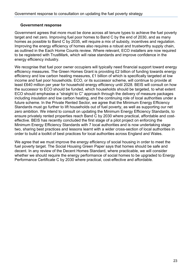#### **Government response**

Government agrees that more must be done across all tenure types to achieve the fuel poverty target and net zero. Improving fuel poor homes to Band C by the end of 2030, and as many homes as possible to Band C by 2035, will require a mix of subsidy, incentives and regulation. Improving the energy efficiency of homes also requires a robust and trustworthy supply chain, as outlined in the Each Home Counts review. Where relevant, ECO installers are now required to be registered with TrustMark, which will raise standards and improve confidence in the energy efficiency industry.

We recognise that fuel poor owner occupiers will typically need financial support toward energy efficiency measures. The Green Homes Grant is providing £2 billion of funding towards energy efficiency and low carbon heating measures, £1 billion of which is specifically targeted at low income and fuel poor households. ECO, or its successor scheme, will continue to provide at least £640 million per year for household energy efficiency until 2028. BEIS will consult on how the successor to ECO should be funded, which households should be targeted, to what extent ECO should emphasise a "straight to C" approach through the delivery of measure packages including insulation and low carbon heating, and the continuing role of local authorities under a future scheme. In the Private Rented Sector, we agree that the Minimum Energy Efficiency Standards must go further to lift households out of fuel poverty, as well as supporting our net zero ambition. We intend to consult on updating the Minimum Energy Efficiency Standards, to ensure privately rented properties reach Band C by 2030 where practical, affordable and costeffective. BEIS has recently concluded the first stage of a pilot project on enforcing the Minimum Energy Efficiency Standards with 7 local authorities and is now undertaking stage two, sharing best practices and lessons learnt with a wider cross-section of local authorities in order to build a toolkit of best practices for local authorities across England and Wales.

We agree that we must improve the energy efficiency of social housing in order to meet the fuel poverty target. The Social Housing Green Paper says that homes should be safe and decent. In any review of the Decent Homes Standard, where practicable, we will consider whether we should require the energy performance of social homes to be upgraded to Energy Performance Certificate C by 2030 where practical, cost-effective and affordable.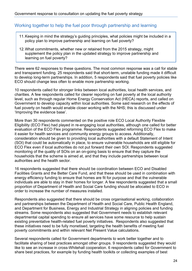#### <span id="page-23-0"></span>Working together to help the fuel poor through partnership and learning

- 11.Keeping in mind the strategy's guiding principles, what policies might be included in a policy plan to improve partnership and learning on fuel poverty?
- 12.What commitments, whether new or retained from the 2015 strategy, might supplement the policy plan in the updated strategy to improve partnership and learning on fuel poverty?

There were 62 responses to these questions. The most common response was a call for stable and transparent funding. 25 respondents said that short-term, unstable funding made it difficult to develop long-term partnerships. In addition, 5 respondents said that fuel poverty policies like ECO should change less often to enable more partnership working.

10 respondents called for stronger links between local authorities, local health services, and charities. A few respondents called for clearer reporting on fuel poverty at the local authority level, such as through regular Home Energy Conservation Act (HECA) reports, and called on Government to develop capacity within local authorities. Some said research on the effects of fuel poverty on health would enable closer working with the NHS; this is discussed under 'Improving the evidence base'.

More than 30 respondents commented on the positive role ECO Local Authority Flexible Eligibility (ECO Flex) had played in re-engaging local authorities, although one called for better evaluation of the ECO Flex programme. Respondents suggested reforming ECO Flex to make it easier for health services and community energy groups to access. Additionally, consideration should be given to providing local authorities with a default Statement of Intent (SOI) that could be automatically in place, to ensure vulnerable households are still eligible for ECO Flex even if local authorities do not put forward their own SOI. Respondents suggested monitoring of the quality of SOIs on an on-going basis to ensure that they capture the households that the scheme is aimed at, and that they include partnerships between local authorities and the health sector.

16 respondents suggested that there should be coordination between ECO and Disabled Facilities Grants and the Better Care Fund, and that these should be used in combination with energy efficiency funding to ensure that homes are fit for purpose and that the vulnerable individuals are able to stay in their homes for longer. A few respondents suggested that a small proportion of Department of Health and Social Care funding should be allocated to ECO in order to increase the number of measures installed.

Respondents also suggested that there should be cross organisational working, collaboration and partnerships between the Department of Health and Social Care, Public Health England, and Department for Business, Energy and Industrial Strategy in aligning policies and funding streams. Some respondents also suggested that Government needs to establish relevant departmental capital spending to ensure all services have some resource to help sustain existing preventative health-related fuel poverty initiatives. Respondents also suggested that these initiatives need to be fully monetised, targeting the health benefits of meeting fuel poverty commitments and within relevant Net Present Value calculations.

Several respondents called for Government departments to work better together and to facilitate sharing of best practices amongst other groups. 9 respondents suggested they would like to see an increase in cross-Whitehall cooperation. 6 respondents called for Government to share best practices, for example by funding health toolkits or collecting examples of best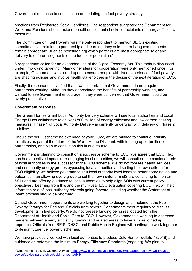practices from Registered Social Landlords. One respondent suggested the Department for Work and Pensions should extend benefit entitlement checks to recipients of energy efficiency measures.

The Committee on Fuel Poverty was the only respondent to mention BEIS's existing commitments in relation to partnership and learning; they said that existing commitments remain appropriate, such as "consider[ing] which partners are most appropriate to enable delivery to different segments of the fuel poor population."

8 respondents called for an expanded use of the Digital Economy Act. This topic is discussed under 'Improving targeting'. Many other ideas for cooperation were only mentioned once. For example, Government was called upon to ensure people with lived experience of fuel poverty are shaping policies and involve health stakeholders in the design of the next iteration of ECO.

Finally, 5 respondents clarified that it was important that Government do not require partnership working. Although they appreciated the benefits of partnership working, and wanted to see Government encourage it, they were concerned that Government could be overly prescriptive.

#### **Government response**

The Green Homes Grant Local Authority Delivery scheme will see local authorities and Local Energy Hubs collaborate to deliver £500 million of energy efficiency and low carbon heating measures. Phase 1 of Local Authority Delivery is currently underway; with delivery of Phase 2 to follow.

Should the WHD scheme be extended beyond 2022, we are minded to continue Industry Initiatives as part of the future of the Warm Home Discount, with funding opportunities for partnerships, and plan to consult on this in due course.

Government is planning to consult on a successor scheme to ECO. We agree that ECO Flex has had a positive impact in re-engaging local authorities; we will consult on the continued role of local authorities in the successor to the ECO scheme. We do not foresee health services and community energy groups bypassing local authorities and setting their own criteria for ECO eligibility; we believe governance at a local authority level leads to better coordination and outcomes than allowing every group to set their own criteria. BEIS are continuing to monitor SOIs and are offering guidance to local authorities to help align SOIs with current policy objectives. Learning from this and the multi-year ECO evaluation covering ECO Flex will help inform the role of local authority referrals going forward, including whether the Statement of Intent process should be reformed.

Central Government departments are working together to design and implement the Fuel Poverty Strategy for England. Officials from several Departments meet regularly to discuss developments in fuel poverty. We do not foresee funding being reallocated from the Department of Health and Social Care to ECO. However, Government is working to decrease barriers between energy efficiency funding and related areas to have a more joined up approach. Officials from BEIS, DHSC, and Public Health England will continue to work together to design future fuel poverty schemes.

We have previously worked with local authorities to produce Cold Home Toolkits<sup>[17](#page-24-0)</sup> (2018) and guidance on enforcing the Minimum Energy Efficiency Standards (ongoing). We plan to

<span id="page-24-0"></span><sup>17</sup>Cold Home Toolkits, Citizens Advice: [https://www.citizensadvice.org.uk/cymraeg/about-us/how-we-provide](https://www.citizensadvice.org.uk/cymraeg/about-us/how-we-provide-advice/advice-partnerships/cold-homes-toolkit/)[advice/advice-partnerships/cold-homes-toolkit/](https://www.citizensadvice.org.uk/cymraeg/about-us/how-we-provide-advice/advice-partnerships/cold-homes-toolkit/)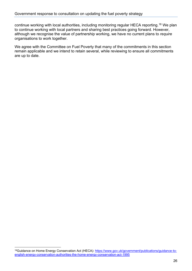continue working with local authorities, including monitoring regular HECA reporting.[18](#page-25-0) We plan to continue working with local partners and sharing best practices going forward. However, although we recognise the value of partnership working, we have no current plans to *require* organisations to work together.

We agree with the Committee on Fuel Poverty that many of the commitments in this section remain applicable and we intend to retain several, while reviewing to ensure all commitments are up to date.

<span id="page-25-0"></span><sup>18</sup>Guidance on Home Energy Conservation Act (HECA): [https://www.gov.uk/government/publications/guidance-to](https://www.gov.uk/government/publications/guidance-to-english-energy-conservation-authorities-the-home-energy-conservation-act-1995)[english-energy-conservation-authorities-the-home-energy-conservation-act-1995](https://www.gov.uk/government/publications/guidance-to-english-energy-conservation-authorities-the-home-energy-conservation-act-1995)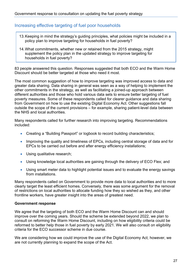#### <span id="page-26-0"></span>Increasing effective targeting of fuel poor households

- 13.Keeping in mind the strategy's guiding principles, what policies might be included in a policy plan to improve targeting for households in fuel poverty?
- 14.What commitments, whether new or retained from the 2015 strategy, might supplement the policy plan in the updated strategy to improve targeting for households in fuel poverty?

83 people answered this question. Responses suggested that both ECO and the Warm Home Discount should be better targeted at those who need it most.

The most common suggestion of how to improve targeting was improved access to data and greater data sharing. Data sharing in general was seen as a way of helping to implement the other commitments in the strategy, as well as facilitating a joined-up approach between different authorities and those who hold various data sets to ensure better targeting of fuel poverty measures. Some of these respondents called for clearer guidance and data sharing from Government on how to use the existing Digital Economy Act. Other suggestions fall outside the scope of the current provisions – for example, sharing patient-level data between the NHS and local authorities.

Many respondents called for further research into improving targeting. Recommendations included:

- Creating a "Building Passport" or logbook to record building characteristics;
- Improving the quality and timeliness of EPCs, including central storage of data and for EPCs to be carried out before and after energy efficiency installations;
- Using qualitative research;
- Using knowledge local authorities are gaining through the delivery of ECO Flex; and
- Using smart meter data to highlight potential issues and to evaluate the energy savings from installations.

Many respondents called on Government to provide more data to local authorities and to more clearly target the least efficient homes. Conversely, there was some argument for the removal of restrictions on local authorities to allocate funding how they so wished as they, and other frontline workers, have greater insight into the areas of greatest need.

#### **Government response**

We agree that the targeting of both ECO and the Warm Home Discount can and should improve over the coming years. Should the scheme be extended beyond 2022, we plan to consult on reforming the Warm Home Discount, including on how eligibility criteria could be reformed to better help those in fuel poverty by early 2021. We will also consult on eligibility criteria for the ECO successor scheme in due course.

We are considering how we could improve the use of the Digital Economy Act; however, we are not currently planning to expand the scope of the Act.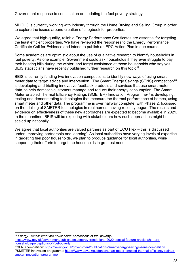MHCLG is currently working with industry through the Home Buying and Selling Group in order to explore the issues around creation of a logbook for properties.

We agree that high-quality, reliable Energy Performance Certificates are essential for targeting the least efficient properties. We have reviewed the responses to the Energy Performance Certificate Call for Evidence and intend to publish an EPC Action Plan in due course.

Some academics are optimistic about the use of qualitative research to identify households in fuel poverty. As one example, Government could ask households if they ever struggle to pay their heating bills during the winter, and target assistance at those households who say yes. BEIS statisticians have recently published further research on this topic<sup>[19](#page-27-0)</sup>.

BEIS is currently funding two innovation competitions to identify new ways of using smart meter data to target advice and intervention. The Smart Energy Savings (SENS) competition<sup>[20](#page-27-1)</sup> is developing and trialling innovative feedback products and services that use smart meter data, to help domestic customers manage and reduce their energy consumption. The Smart Meter Enabled Thermal Efficiency Ratings (SMETER) Innovation Programme<sup>[21](#page-27-2)</sup> is developing, testing and demonstrating technologies that measure the thermal performance of homes, using smart meter and other data. The programme is over halfway complete, with Phase 2, focussed on the trialling of SMETER technologies in real homes, having recently begun. The results and evidence on effectiveness of these new approaches are expected to become available in 2021. In the meantime, BEIS will be exploring with stakeholders how such approaches might be scaled up nationally.

We agree that local authorities are valued partners as part of ECO Flex – this is discussed under 'Improving partnership and learning'. As local authorities have varying levels of expertise in targeting fuel poor households, we plan to produce guidance for local authorities, while supporting their efforts to target the households in greatest need.

<span id="page-27-0"></span><sup>19</sup> *Energy Trends: What are households' perceptions of fuel poverty?* [https://www.gov.uk/government/publications/energy-trends-june-2020-special-feature-article-what-are](https://www.gov.uk/government/publications/energy-trends-june-2020-special-feature-article-what-are-households-perceptions-of-fuel-poverty)[households-perceptions-of-fuel-poverty](https://www.gov.uk/government/publications/energy-trends-june-2020-special-feature-article-what-are-households-perceptions-of-fuel-poverty) 20SENS competition: <https://www.gov.uk/government/publications/smart-energy-savings-sens-competition>

<span id="page-27-2"></span><span id="page-27-1"></span><sup>21</sup>SMETER innovation programme: [https://www.gov.uk/guidance/smart-meter-enabled-thermal-efficiency-ratings](https://www.gov.uk/guidance/smart-meter-enabled-thermal-efficiency-ratings-smeter-innovation-programme)[smeter-innovation-programme](https://www.gov.uk/guidance/smart-meter-enabled-thermal-efficiency-ratings-smeter-innovation-programme)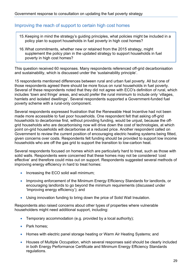#### <span id="page-28-0"></span>Improving the reach of support to certain high cost homes

- 15.Keeping in mind the strategy's guiding principles, what policies might be included in a policy plan to support households in fuel poverty in high cost homes?
- 16.What commitments, whether new or retained from the 2015 strategy, might supplement the policy plan in the updated strategy to support households in fuel poverty in high cost homes?

This question received 60 responses. Many respondents referenced off-grid decarbonisation and sustainability, which is discussed under the 'sustainability principle'.

15 respondents mentioned differences between rural and urban fuel poverty. All but one of those respondents agreed there should be more focus on rural households in fuel poverty. Several of these respondents noted that they did not agree with ECO's definition of rural, which includes 'town and fringe' areas, and would prefer the rural minimum to include only 'villages, hamlets and isolated dwellings'. Several respondents supported a Government-funded fuel poverty scheme with a rural-only component.

Several respondents expressed frustration that the Renewable Heat Incentive had not been made more accessible to fuel poor households. One respondent felt that asking off-grid households to decarbonise first, without providing funding, would be unjust, because the offgrid households who are decarbonising now will drive down the cost of technologies, at which point on-grid households will decarbonise at a reduced price. Another respondent called on Government to review the current position of encouraging electric heating systems being fitted, given concerns over costs. Respondents felt funding should be provided to support low income households who are off the gas grid to support the transition to low-carbon heat.

Several respondents focused on homes which are particularly hard to treat, such as those with solid walls. Respondents were concerned that these homes may not be considered 'cost effective' and therefore could miss out on support. Respondents suggested several methods of improving energy efficiency in hard to treat homes:

- Increasing the ECO solid wall minimum;
- Improving enforcement of the Minimum Energy Efficiency Standards for landlords, or encouraging landlords to go beyond the minimum requirements (discussed under 'Improving energy efficiency'); and
- Using innovation funding to bring down the price of Solid Wall Insulation.

Respondents also raised concerns about other types of properties where vulnerable householders might need additional support, including:

- Temporary accommodation (e.g. provided by a local authority);
- Park homes;
- Homes with electric panel storage heating or Warm Air Heating Systems; and
- Houses of Multiple Occupation, which several responses said should be clearly included in both Energy Performance Certificate and Minimum Energy Efficiency Standards regulations.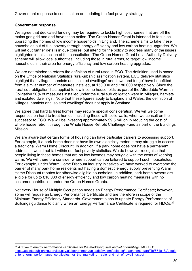#### **Government response**

We agree that dedicated funding may be required to tackle high cost homes that are off the mains gas grid and and have taken action. The Green Homes Grant is intended to focus on upgrading the homes of low income households in England. The scheme aims to take these households out of fuel poverty through energy efficiency and low carbon heating upgrades. We will set out further details in due course, but intend for the policy to address many of the issues highlighted in this section of the consultation. The Green Homes Grant Local Authority Delivery scheme will allow local authorities, including those in rural areas, to target low income households in their area for energy efficiency and low carbon heating upgrades.

We are not minded to reform the definition of rural used in ECO. The definition used is based on the Office of National Statistics rural-urban classification system. ECO delivery statistics highlight that 'villages, hamlets and isolated dwellings' and 'town and fringe' have benefitted from a similar number of measures installed, at 150,000 and 180,000 respectively. Since the 'rural sub-obligation' has applied to low income households as part of the Affordable Warmth Obligation 50% of measures installed under the rural sub obligation were in 'villages, hamlets and isolated dwellings'. Note that these figures apply to England and Wales; the definition of 'villages, hamlets and isolated dwellings' does not apply in Scotland.

We agree that hard to treat homes may require special consideration. We will welcome responses on hard to treat homes, including those with solid walls, when we consult on the successor to ECO. We will be investing approximately £9.5 million in reducing the cost of whole house retrofit through the Whole House Retrofit Challenge Fund as part of the Buildings Mission.

We are aware that certain forms of housing can have particular barriers to accessing support. For example, if a park home does not have its own electricity meter, it may struggle to access a traditional Warm Home Discount. In addition, if a park home does not have a permanent address, it would not fall within our fuel poverty statistics. We do however recognise that people living in these homes that are on low incomes may struggle with the costs of keeping warm. We will therefore consider where support can be tailored to support such households. For example, under Warm Home Discount industry initiatives we have worked to overcome the barrier of many park home residents not having a domestic energy supply preventing Warm Home Discount rebates for otherwise eligible households. In addition, park home owners are eligible for up to £10,000 of energy efficiency and low carbon heating measures with no customer contribution under the Green Homes Grants.

Not every House of Multiple Occupation needs an Energy Performance Certificate; however, some will require an Energy Performance Certificate and are therefore in scope of the Minimum Energy Efficiency Standards. Government plans to update Energy Performance of Buildings guidance to clarify when an Energy Performance Certificate is required for HMOs.<sup>[22](#page-29-0)</sup>

<span id="page-29-0"></span><sup>22</sup> *A guide to energy performance certificates for the marketing, sale and let of dwellings*, MHCLG: [https://assets.publishing.service.gov.uk/government/uploads/system/uploads/attachment\\_data/file/671018/A\\_guid](https://assets.publishing.service.gov.uk/government/uploads/system/uploads/attachment_data/file/671018/A_guide_to_energy_performance_certificates_for_the_marketing__sale_and_let_of_dwellings.pdf) e to energy performance certificates for the marketing sale and let of dwellings.pdf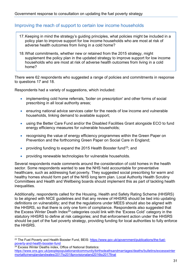#### <span id="page-30-0"></span>Improving the reach of support to certain low income households

- 17.Keeping in mind the strategy's guiding principles, what policies might be included in a policy plan to improve support for low income households who are most at risk of adverse health outcomes from living in a cold home?
- 18.What commitments, whether new or retained from the 2015 strategy, might supplement the policy plan in the updated strategy to improve support for low income households who are most at risk of adverse health outcomes from living in a cold home?

There were 62 respondents who suggested a range of policies and commitments in response to questions 17 and 18.

Respondents had a variety of suggestions, which included:

- implementing cold home referrals, 'boiler on prescription' and other forms of social prescribing in all local authority areas;
- ensuring national advice services cater for the needs of low income and vulnerable households, linking demand to available support;
- using the Better Care Fund and/or the Disabled Facilities Grant alongside ECO to fund energy efficiency measures for vulnerable households;
- recognising the value of energy efficiency programmes within the Green Paper on Prevention and the forthcoming Green Paper on Social Care in England;
- providing funding to expand the 2015 Health Booster fund<sup>[23](#page-30-1)</sup>; and
- providing renewable technologies for vulnerable households.

Several respondents made comments around the consideration of cold homes in the health sector. Some respondents wanted to see the NHS held accountable for preventative healthcare, such as addressing fuel poverty. They suggested social prescribing for warm and healthy homes should form part of the NHS long term plan. Local Authority Health Scrutiny Committees and Health and Wellbeing boards should implement this as part of tackling health inequalities.

Additionally, respondents called for the Housing, Health and Safety Rating Scheme (HHSRS) to be aligned with NICE guidelines and that any review of HHSRS should be tied into updating definitions on vulnerability; and that the regulations under MEES should also be aligned with the HHSRS, so that there is only one form of compliance. Respondents also suggested that the Excess Winter Death Index $24$  categories could link with the 'Excess Cold' category in the statutory HHSRS to define at risk categories; and that enforcement action under the HHSRS should be part of the fuel poverty strategy, providing funding for local authorities to fully enforce the HHSRS.

<span id="page-30-1"></span><sup>&</sup>lt;sup>23</sup> The Fuel Poverty and Health Booster Fund, BEIS: [https://www.gov.uk/government/publications/the-fuel](https://www.gov.uk/government/publications/the-fuel-poverty-and-health-booster-fund)[poverty-and-health-booster-fund](https://www.gov.uk/government/publications/the-fuel-poverty-and-health-booster-fund)

<span id="page-30-2"></span><sup>&</sup>lt;sup>24</sup> Excess Winter Deaths index, Office of National Statistics: [https://www.ons.gov.uk/peoplepopulationandcommunity/birthsdeathsandmarriages/deaths/bulletins/excesswinter](https://www.ons.gov.uk/peoplepopulationandcommunity/birthsdeathsandmarriages/deaths/bulletins/excesswintermortalityinenglandandwales/2017to2018provisionaland2016to2017final) [mortalityinenglandandwales/2017to2018provisionaland2016to2017final](https://www.ons.gov.uk/peoplepopulationandcommunity/birthsdeathsandmarriages/deaths/bulletins/excesswintermortalityinenglandandwales/2017to2018provisionaland2016to2017final)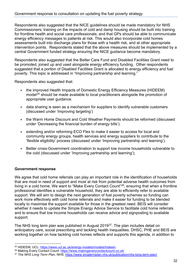Respondents also suggested that the NICE guidelines should be made mandatory for NHS Commissioners; training on the impacts of cold and damp housing should be built into training for frontline health and social care professionals; and that GPs should be able to communicate energy efficiency messages to patients at risk. This would also incorporate cold homes assessments built into discharge plans for those with a health risk, and at other appropriate intervention points. Respondents stated that the above measures should be implemented by a central Government funded strategy ensuring the NICE guidance become mandatory.

Respondents also suggested that the Better Care Fund and Disabled Facilities Grant need to be promoted, joined up and used alongside energy efficiency funding. Other respondents suggested that a portion of Disabled Facilities Grant is allocated to energy efficiency and fuel poverty. This topic is addressed in "Improving partnership and learning."

Respondents also suggested that:

- the improved Health Impacts of Domestic Energy Efficiency Measures (HIDEEM) model<sup>25</sup> should be made available to local practitioners alongside the promotion of appropriate user guidance.
- data sharing is seen as a mechanism for suppliers to identify vulnerable customers (discussed under 'Improving targeting')
- the Warm Home Discount and Cold Weather Payments should be reformed (discussed under 'Decreasing the financial burden of energy bills').
- extending and/or reforming ECO Flex to make it easier to access for local and community energy groups, health services and energy suppliers to contribute to the 'flexible eligibility' process (discussed under 'Improving partnership and learning').
- Better cross-Government coordination to support low income households vulnerable to the cold (discussed under 'Improving partnership and learning');

#### **Government response**

We agree that cold home referrals can play an important role in the identification of households that are most in need of support and most at risk from potential adverse health outcomes from living in a cold home. We want to "Make Every Contact Count"[26,](#page-31-1) ensuring that when a frontline professional identifies a vulnerable household, they are able to efficiently refer to available support. We will aim to design the next generation of fuel poverty schemes so funding can work more effectively with cold home referrals and make it easier for funding to be blended locally to maximise the support available for those in the greatest need. BEIS will consider whether it needs to update the Simple Energy Advice Service to facilitate cold home referrals and to ensure that low income households can receive advice and signposting to available support.

The NHS long term plan was published in August 2019<sup>[27](#page-31-2)</sup>. The plan includes detail on anticipatory care, social prescribing and tackling health inequalities. DHSC, PHE and BEIS are working together on how tackling cold homes reflects and supports this agenda, in addition to

<span id="page-31-0"></span><sup>25</sup> HIDEEM, UCL:<https://www.ucl.ac.uk/energy-models/models/hideem>

<span id="page-31-1"></span><sup>26</sup> Making Every Contact Count:<https://www.makingeverycontactcount.co.uk/>

<span id="page-31-2"></span><sup>27</sup> *The NHS Long Term Plan*, NHS:<https://www.longtermplan.nhs.uk/publication/nhs-long-term-plan/>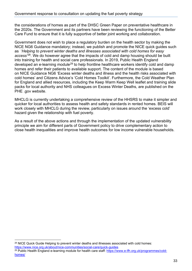the considerations of homes as part of the DHSC Green Paper on preventative healthcare in the 2020s. The Government and its partners have been reviewing the functioning of the Better Care Fund to ensure that it is fully supportive of better joint working and collaboration.

Government does not wish to place a regulatory burden on the health sector by making the NICE NG6 Guidance mandatory; instead, we publish and promote the NICE quick guides such as '*Helping to prevent winter deaths and illnesses associated with cold homes for easy access'*[28.](#page-32-0) We do however agree that the impacts of cold and damp housing should be built into training for health and social care professionals. In 2019, Public Health England developed an e-learning module<sup>[29](#page-32-1)</sup> to help frontline healthcare workers identify cold and damp homes and refer their patients to available support. The content of the module is based on [NICE Guidance NG6](https://www.nice.org.uk/guidance/ng6) 'Excess winter deaths and illness and the health risks associated with cold homes' and [Citizens Advice's 'Cold Homes Toolkit'.](https://www.citizensadvice.org.uk/about-us/how-we-provide-advice/advice-partnerships/cold-homes-toolkit/) Furthermore, the Cold Weather Plan for England and allied resources, including the Keep Warm Keep Well leaflet and training slide packs for local authority and NHS colleagues on Excess Winter Deaths, are published on the PHE .gov website.

MHCLG is currently undertaking a comprehensive review of the HHSRS to make it simpler and quicker for local authorities to assess health and safety standards in rented homes. BEIS will work closely with MHCLG during the review, particularly on issues around the 'excess cold' hazard given the relationship with fuel poverty.

As a result of the above actions and through the implementation of the updated vulnerability principle we aim for different parts of Government policy to drive complementary action to close health inequalities and improve health outcomes for low income vulnerable households.

<span id="page-32-0"></span><sup>&</sup>lt;sup>28</sup> NICE Quick Guide Helping to prevent winter deaths and illnesses associated with cold homes: <https://www.nice.org.uk/about/nice-communities/social-care/quick-guides>

<span id="page-32-1"></span><sup>&</sup>lt;sup>29</sup> Public Health England e-learning module for health care staff: [https://www.e-lfh.org.uk/programmes/cold](https://www.e-lfh.org.uk/programmes/cold-homes/)[homes/](https://www.e-lfh.org.uk/programmes/cold-homes/)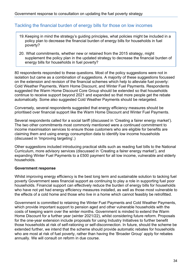#### <span id="page-33-0"></span>Tackling the financial burden of energy bills for those on low incomes

- 19.Keeping in mind the strategy's guiding principles, what policies might be included in a policy plan to decrease the financial burden of energy bills for households in fuel poverty?
- 20. What commitments, whether new or retained from the 2015 strategy, might supplement the policy plan in the updated strategy to decrease the financial burden of energy bills for households in fuel poverty?

80 respondents responded to these questions. Most of the policy suggestions were not in isolation but came as a combination of suggestions. A majority of these suggestions focussed on the extension and revision of the financial schemes which help to alleviate fuel poverty: Cold Weather Payments, Warm Home Discount, and Winter Fuel Payments. Respondents suggested the Warm Home Discount Core Group should be extended so that households continue to receive support beyond 2021 and expanded so that more people get the rebate automatically. Some also suggested Cold Weather Payments should be retargeted.

Conversely, several respondents suggested that energy efficiency measures should be prioritised over financial support like the Warm Home Discount and Winter Fuel Payments.

Several respondents called for a social tariff (discussed in 'Creating a fairer energy market'). The two other commitments most commonly mentioned were a continued commitment to income maximisation services to ensure those customers who are eligible for benefits are claiming them and using energy consumption data to identify low income households (discussed in 'Improving targeting'.)

Other suggestions included introducing practical skills such as reading fuel bills to the National Curriculum, more advisory services (discussed in 'Creating a fairer energy market'), and expanding Winter Fuel Payments to a £500 payment for all low income, vulnerable and elderly households.

#### **Government response**

Whilst improving energy efficiency is the best long term and sustainable solution to tacking fuel poverty Government sees financial support as continuing to play a role in supporting fuel poor households. Financial support can effectively reduce the burden of energy bills for households who have not yet had energy efficiency measures installed, as well as those most vulnerable to the effects of a cold home and those who live in a home which cannot feasibly be retrofitted.

Government is committed to retaining the Winter Fuel Payments and Cold Weather Payments, which provide important support to pension aged and other vulnerable households with the costs of keeping warm over the winter months. Government is minded to extend the Warm Home Discount for a further year (winter 2021/22), whilst considering future reform. Proposals for the one-year extension include proposals for using Industry Initiatives to further benefit those households at risk of self-rationing or self-disconnection. In future, should the scheme be extended further, we intend that the scheme should provide automatic rebates for households who are most at risk of fuel poverty, rather than having the 'Broader Group' apply for rebates annually. We will consult on reform in due course.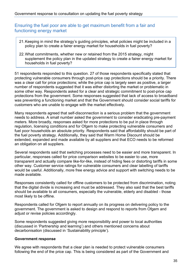<span id="page-34-0"></span>Ensuring the fuel poor are able to get maximum benefit from a fair and functioning energy market

- 21.Keeping in mind the strategy's guiding principles, what policies might be included in a policy plan to create a fairer energy market for households in fuel poverty?
- 22.What commitments, whether new or retained from the 2015 strategy, might supplement the policy plan in the updated strategy to create a fairer energy market for households in fuel poverty?

51 respondents responded to this question. 27 of those respondents specifically stated that protecting vulnerable consumers through post-price cap protections should be a priority. There was a clear call for price protections; while the price cap is largely seen as positive, a larger number of respondents suggested that it was either distorting the market or problematic in some other way. Respondents asked for a clear and strategic commitment to post-price cap protections from the government. Some responses suggested that lack of access to broadband was preventing a functioning market and that the Government should consider social tariffs for customers who are unable to engage with the market effectively.

Many respondents agreed that self-disconnection is a serious problem that the government needs to address. A small number asked the government to consider eradicating pre-payment meters. More broadly, responses asked for more protections to be put in place through regulation, licensing conditions and for Ofgem to make protecting vulnerable consumers and fuel poor households an absolute priority. Respondents said that affordability should be part of the fuel poverty strategy. Additionally, they said that Warm Home Discount should be extended, expanded and made available by all suppliers and that ECO needs to be reformed an obligation on all suppliers.

Several respondents said that switching processes need to be easier and more transparent. In particular, responses called for price comparison websites to be easier to use, more transparent and actually compare like-for-like, instead of hiding fees or distorting tariffs in some other way. Customer service ratings for vulnerable consumers and clear labelling of tariffs would be useful. Additionally, more free energy advice and support with switching needs to be made available.

Responses consistently called for offline customers to be protected from discrimination, noting that the digital divide is increasing and must be addressed. They also said that the best tariffs should be available to all consumers, especially the vulnerable, elderly and disabled - those most likely to be offline.

Respondents called for Ofgem to report annually on its progress on delivering policy to the government. The government is asked to design and respond to reports from Ofgem and adjust or revise policies accordingly.

Some respondents suggested giving more responsibility and power to local authorities (discussed in 'Partnership and learning') and others mentioned concerns about decarbonisation (discussed in 'Sustainability principle').

#### **Government response**

We agree with respondents that a clear plan is needed to protect vulnerable consumers following the end of the price cap. This is being considered as part of the Government and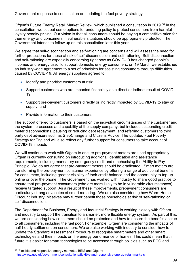Ofgem's Future Energy Retail Market Review, which published a consultation in 2019.<sup>[30](#page-35-0)</sup> In the consultation, we set out some options for enduring policy to protect consumers from harmful loyalty penalty pricing. Our vision is that all consumers should be paying a competitive price for their energy and consumers in vulnerable situations should be appropriately protected. The Government intends to follow up on this consultation later this year.

We agree that self-disconnection and self-rationing are concerns and will assess the need for further protections for those at risk of self-disconnection and self-rationing. Self-disconnection and self-rationing are especially concerning right now as COVID-19 has changed people's incomes and energy use. To support domestic energy consumers, on 19 March we established an industry-wide agreement to a set of principles for assisting consumers through difficulties caused by COVID-19. All energy suppliers agreed to:

- Identify and prioritise customers at risk;
- Support customers who are impacted financially as a direct or indirect result of COVID- $19<sup>·</sup>$
- Support pre-payment customers directly or indirectly impacted by COVID-19 to stay on supply; and
- Provide information to their customers.

The support offered to customers is based on the individual circumstances of the customer and the system, processes and capability of the supply company, but includes suspending credit meter disconnections, pausing or reducing debt repayment, and referring customers to third party debt advisers such as StepChange and Citizens Advice. The updated Fuel Poverty Strategy for England will also reflect any further support for consumers to take account of COVID-19 impacts

We will continue to work with Ofgem to ensure pre-payment meters are used appropriately. Ofgem is currently consulting on introducing additional identification and assistance requirements, including mandatory emergency credit and emphasising the Ability to Pay Principle. We do not agree that pre-payment meters should be eradicated. Smart meters are transforming the pre-payment consumer experience by offering a range of additional benefits for consumers, including greater visibility of their credit balance and the opportunity to top-up online or over the phone. The Government has worked with industry to share good practice to ensure that pre-payment consumers (who are more likely to be in vulnerable circumstances) receive targeted support. As a result of these improvements, prepayment consumers are particularly strong advocates of smart metering. We are also considering how Warm Home Discount Industry Initiatives may further benefit those households at risk of self-rationing or self-disconnection.

The Department for Business, Energy and Industrial Strategy is working closely with Ofgem and industry to support the transition to a smarter, more flexible energy system. As part of this, we are considering how consumers should be protected and how to ensure the benefits accrue to all consumers, including the fuel poor. For example, Ofgem are considering the impacts of half-hourly settlement on consumers. We are also working with industry to consider how to update the Standard Assessment Procedure to recognise smart meters and other smart technologies and their impacts on the energy performance of homes. This could mean that in future it is easier for smart technologies to be accessed through policies such as ECO and

<span id="page-35-0"></span><sup>&</sup>lt;sup>30</sup> 'Flexible and responsive energy markets', BEIS and Ofgem: <https://www.gov.uk/government/consultations/flexible-and-responsive-energy-retail-markets>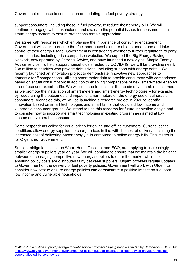support consumers, including those in fuel poverty, to reduce their energy bills. We will continue to engage with stakeholders and evaluate the potential issues for consumers in a smart energy system to ensure protections remain appropriate.

We agree with responses which emphasise the importance of consumer engagement. Government will seek to ensure that fuel poor households are able to understand and take control of their energy usage. Government is considering whether to further regulate third party intermediaries, including price comparison websites. We support the Big Energy Saving Network, now operated by Citizen's Advice, and have launched a new digital Simple Energy Advice service. To help support households affected by COVID-19, we will be providing nearly £38 million to charities who provide debt advice, including support with energy debt.<sup>[31](#page-36-0)</sup> We recently launched an innovation project to demonstrate innovative new approaches to domestic tariff comparisons, utilising smart meter data to provide consumers with comparisons based on actual consumption; in addition to enabling comparisons of new smart-meter enabled time-of-use and export tariffs. We will continue to consider the needs of vulnerable consumers as we promote the installation of smart meters and smart energy technologies – for example, by researching the outcomes and impact of smart meters on the energy use of vulnerable consumers. Alongside this, we will be launching a research project in 2020 to identify innovation based on smart technologies and smart tariffs that could aid low income and vulnerable consumer groups. We intend to use this research for future innovation design and to consider how to incorporate smart technologies in existing programmes aimed at low income and vulnerable consumers.

Some respondents called for equal prices for online and offline customers. Current licence conditions allow energy suppliers to charge prices in line with the cost of delivery, including the increased cost of delivering paper energy bills compared to online energy bills. This matter is for Ofgem, not Government.

Supplier obligations, such as Warm Home Discount and ECO, are applying to increasingly smaller energy suppliers year on year. We will continue to ensure that we maintain the balance between encouraging competitive new energy suppliers to enter the market while also ensuring policy costs are distributed fairly between suppliers. Ofgem provides regular updates to Government on the delivery of fuel poverty policies. Government will work with Ofgem to consider how best to ensure energy policies can demonstrate a positive impact on fuel poor, low income and vulnerable households.

<span id="page-36-0"></span><sup>31</sup> Almost £38 million support package for debt advice providers helping people affected by Coronavirus, GOV.UK: [https://www.gov.uk/government/news/almost-38-million-support-package-for-debt-advice-providers-helping](https://www.gov.uk/government/news/almost-38-million-support-package-for-debt-advice-providers-helping-people-affected-by-coronavirus)[people-affected-by-coronavirus](https://www.gov.uk/government/news/almost-38-million-support-package-for-debt-advice-providers-helping-people-affected-by-coronavirus)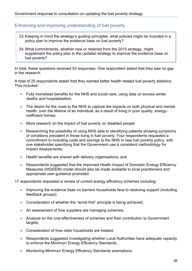#### <span id="page-37-0"></span>Enhancing and improving understanding of fuel poverty

- 23.Keeping in mind the strategy's guiding principles, what policies might be included in a policy plan to improve the evidence base on fuel poverty?
- 24.What commitments, whether new or retained from the 2015 strategy, might supplement the policy plan in the updated strategy to improve the evidence base on fuel poverty?

In total, these questions received 53 responses. One respondent stated that they saw no gap in the research.

A total of 25 respondents stated that they wanted better health related fuel poverty statistics. This included:

- Fully monetised benefits for the NHS and social care, using data on excess winter deaths and hospitalisation;
- The desire for the costs to the NHS to capture the impacts on both physical and mental health, over the lifetime of an individual, as a result of living in poor quality, energyinefficient homes;
- More research on the impact of fuel poverty on disabled people;
- Researching the possibility of using NHS data to identifying patients showing symptoms of conditions prevalent in those living in fuel poverty. Four respondents requested a commitment to including costs and savings to the NHS in new fuel poverty policy, with one stakeholder specifying that the Government use a consistent methodology for Impact Assessments;
- Health benefits are shared with delivery organisations; and
- Respondents suggested that the improved Health Impact of Domestic Energy Efficiency Measures (HIDEEM) model should also be made available to local practitioners and appropriate user guidance promoted.

17 respondents requested a review of current energy efficiency schemes including:

- Improving the evidence base on barriers households face to receiving support (including feedback groups);
- Consideration of whether the "worst first" principle is being achieved;
- An assessment of how suppliers are managing schemes;
- Analysis on the cost effectiveness of schemes and their contribution to Government targets;
- Consideration of how older households are treated;
- Respondents suggested investigating whether Local Authorities have adequate capacity to enforce the Minimum Energy Efficiency Standards;
- Monitoring Minimum Energy Efficiency Standards exemptions;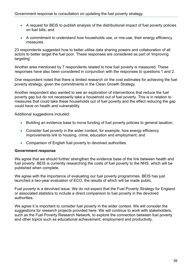- A request for BEIS to publish analysis of the distributional impact of fuel poverty policies on fuel bills; and
- A commitment to understand how households use, or mis-use, their energy efficiency measures.

23 respondents suggested how to better utilise data sharing powers and collaboration of all actors to better target the fuel poor. These responses are considered as part of 'Improving targeting'.

Another area mentioned by 7 respondents related to how fuel poverty is measured. These responses have also been considered in conjunction with the responses to questions 1 and 2.

One respondent noted that there is limited research on the cost estimates for achieving the fuel poverty strategy, given the commitments in the Clean Growth Strategy.

Another respondent also wanted to see an exploration of interventions that reduce the fuel poverty gap but do not necessarily take a household out of fuel poverty. This is in relation to measures that could take these households out of fuel poverty and the effect reducing the gap could have on health and vulnerability

Additional suggestions included:

- Building an evidence base to move funding of fuel poverty policies to general taxation;
- Consider fuel poverty in the wider context, for example, how energy efficiency improvements link to housing, crime, education and employment; and
- Comparison of English fuel poverty to devolved authorities.

#### **Government response**

We agree that we should further strengthen the evidence base of the link between health and fuel poverty. BEIS is currently researching the costs of fuel poverty to the NHS, which will be published when complete.

We agree with the importance of evaluating our fuel poverty programmes. BEIS has just launched a two-year evaluation of ECO, the results of which will be made public.

Fuel poverty is a devolved issue. We do not expect that the Fuel Poverty Strategy for England or associated statistics to include a direct comparison to fuel poverty in the devolved authorities.

We agree it is important to consider fuel poverty in the wider context. We will consider the suggestions for research projects provided here. We will continue to work with stakeholders, such as the Fuel Poverty Research Network, to explore the connection between fuel poverty and other topics such as educational achievement, employment and productivity.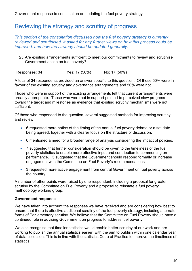### <span id="page-39-0"></span>Reviewing the strategy and scrutiny of progress

*This section of the consultation discussed how the fuel poverty strategy is currently reviewed and scrutinised. It asked for any further views on how this process could be improved, and how the strategy should be updated generally.*

25.Are existing arrangements sufficient to meet our commitments to review and scrutinise Government action on fuel poverty?

Responses: 34 Yes: 17 (50%) No: 17 (50%)

A total of 34 respondents provided an answer specific to this question. Of those 50% were in favour of the existing scrutiny and governance arrangements and 50% were not.

Those who were in support of the existing arrangements felt that current arrangements were broadly appropriate. Those who were not in support pointed to perceived slow progress toward the target and milestones as evidence that existing scrutiny mechanisms were not sufficient.

Of those who responded to the question, several suggested methods for improving scrutiny and review:

- 6 requested more notice of the timing of the annual fuel poverty debate or a set date being agreed, together with a clearer focus on the structure of discussion.
- 6 mentioned a need for a broader range of analysis considering the impact of policies.
- 7 suggested that further consideration should be given to the timeliness of the fuel poverty statistics to enable more effective input and contribution to commenting on performance. 3 suggested that the Government should respond formally or increase engagement with the Committee on Fuel Poverty's recommendations
- 3 requested more active engagement from central Government on fuel poverty across the country.

A number of other points were raised by one respondent, including a proposal for greater scrutiny by the Committee on Fuel Poverty and a proposal to reinstate a fuel poverty methodology working group.

#### **Government response**

We have taken into account the responses we have received and are considering how best to ensure that there is effective additional scrutiny of the fuel poverty strategy, including alternate forms of Parliamentary scrutiny. We believe that the Committee on Fuel Poverty should have a continued role in advising Government on progress to address fuel poverty.

We also recognise that timelier statistics would enable better scrutiny of our work and are working to publish the annual statistics earlier, with the aim to publish within one calendar year of data collection. This is in line with the statistics Code of Practice to improve the timeliness of statistics.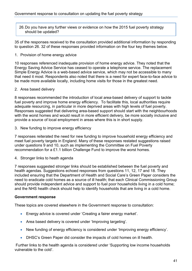26.Do you have any further views or evidence on how the 2015 fuel poverty strategy should be updated?

35 of the responses received to the consultation provided additional information by responding to question 26. 32 of these responses provided information on the four key themes below.

#### 1. Provision of home energy advice

10 responses referenced inadequate provision of home energy advice. They noted that the Energy Saving Advice Service has ceased to operate a telephone service. The replacement Simple Energy Advice is a web-based advice service, which may not be accessible to many that need it most. Respondents also noted that there is a need for expert face-to-face advice to be made more available locally, including home visits for those in the greatest need.

#### 2. Area based delivery

8 responses recommended the introduction of local area-based delivery of support to tackle fuel poverty and improve home energy efficiency. To facilitate this, local authorities require adequate resourcing, in particular in more deprived areas with high levels of fuel poverty. Responses suggested that delivering area-based support should start with the neighbourhoods with the worst homes and would result in more efficient delivery, be more socially inclusive and provide a source of local employment in areas where this is in short supply.

3. New funding to improve energy efficiency

7 responses reiterated the need for new funding to improve household energy efficiency and meet fuel poverty targets in England. Many of these responses restated suggestions raised under questions 9 and 10, such as implementing the Committee on Fuel Poverty recommendation for a £1.1 billion Challenge Fund to improve the worst homes.

4. Stronger links to heath agenda

7 responses suggested stronger links should be established between the fuel poverty and health agendas. Suggestions echoed responses from questions 11, 12, 17 and 18. They included ensuring that the Department of Health and Social Care's Green Paper considers the need to eradicate cold homes as a source of ill health; that each Clinical Commissioning Group should provide independent advice and support to fuel poor households living in a cold home; and the NHS health check should help to identify households that are living in a cold home.

#### **Government response**

These topics are covered elsewhere in the Government response to consultation:

- Energy advice is covered under 'Creating a fairer energy market'.
- Area based delivery is covered under 'Improving targeting'.
- New funding of energy efficiency is considered under 'Improving energy efficiency'.
- DHSC's Green Paper did consider the impacts of cold homes on ill health.

Further links to the health agenda is considered under 'Supporting low income households vulnerable to the cold'.